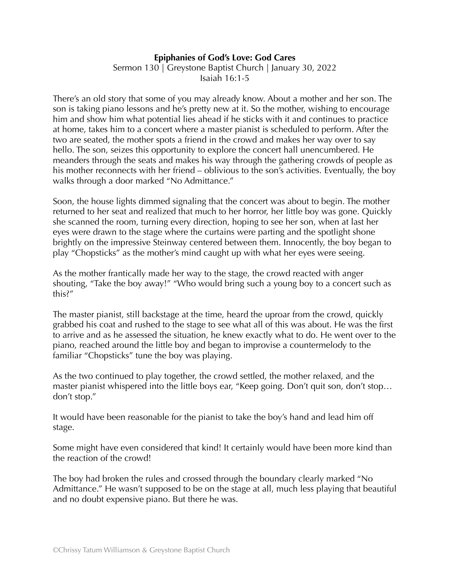## **Epiphanies of God's Love: God Cares**

Sermon 130 | Greystone Baptist Church | January 30, 2022 Isaiah 16:1-5

There's an old story that some of you may already know. About a mother and her son. The son is taking piano lessons and he's pretty new at it. So the mother, wishing to encourage him and show him what potential lies ahead if he sticks with it and continues to practice at home, takes him to a concert where a master pianist is scheduled to perform. After the two are seated, the mother spots a friend in the crowd and makes her way over to say hello. The son, seizes this opportunity to explore the concert hall unencumbered. He meanders through the seats and makes his way through the gathering crowds of people as his mother reconnects with her friend – oblivious to the son's activities. Eventually, the boy walks through a door marked "No Admittance."

Soon, the house lights dimmed signaling that the concert was about to begin. The mother returned to her seat and realized that much to her horror, her little boy was gone. Quickly she scanned the room, turning every direction, hoping to see her son, when at last her eyes were drawn to the stage where the curtains were parting and the spotlight shone brightly on the impressive Steinway centered between them. Innocently, the boy began to play "Chopsticks" as the mother's mind caught up with what her eyes were seeing.

As the mother frantically made her way to the stage, the crowd reacted with anger shouting, "Take the boy away!" "Who would bring such a young boy to a concert such as this?"

The master pianist, still backstage at the time, heard the uproar from the crowd, quickly grabbed his coat and rushed to the stage to see what all of this was about. He was the first to arrive and as he assessed the situation, he knew exactly what to do. He went over to the piano, reached around the little boy and began to improvise a countermelody to the familiar "Chopsticks" tune the boy was playing.

As the two continued to play together, the crowd settled, the mother relaxed, and the master pianist whispered into the little boys ear, "Keep going. Don't quit son, don't stop… don't stop."

It would have been reasonable for the pianist to take the boy's hand and lead him off stage.

Some might have even considered that kind! It certainly would have been more kind than the reaction of the crowd!

The boy had broken the rules and crossed through the boundary clearly marked "No Admittance." He wasn't supposed to be on the stage at all, much less playing that beautiful and no doubt expensive piano. But there he was.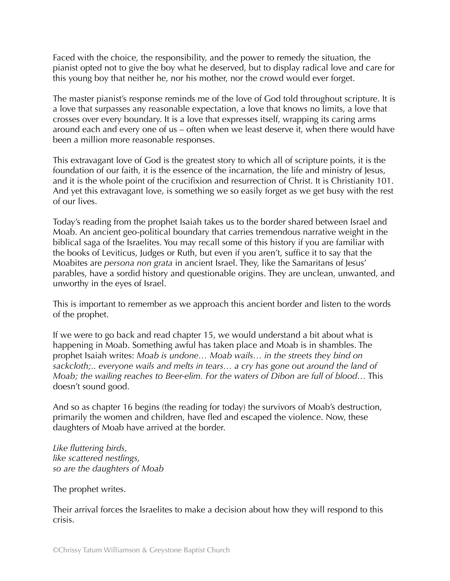Faced with the choice, the responsibility, and the power to remedy the situation, the pianist opted not to give the boy what he deserved, but to display radical love and care for this young boy that neither he, nor his mother, nor the crowd would ever forget.

The master pianist's response reminds me of the love of God told throughout scripture. It is a love that surpasses any reasonable expectation, a love that knows no limits, a love that crosses over every boundary. It is a love that expresses itself, wrapping its caring arms around each and every one of us – often when we least deserve it, when there would have been a million more reasonable responses.

This extravagant love of God is the greatest story to which all of scripture points, it is the foundation of our faith, it is the essence of the incarnation, the life and ministry of Jesus, and it is the whole point of the crucifixion and resurrection of Christ. It is Christianity 101. And yet this extravagant love, is something we so easily forget as we get busy with the rest of our lives.

Today's reading from the prophet Isaiah takes us to the border shared between Israel and Moab. An ancient geo-political boundary that carries tremendous narrative weight in the biblical saga of the Israelites. You may recall some of this history if you are familiar with the books of Leviticus, Judges or Ruth, but even if you aren't, suffice it to say that the Moabites are *persona non grata* in ancient Israel. They, like the Samaritans of Jesus' parables, have a sordid history and questionable origins. They are unclean, unwanted, and unworthy in the eyes of Israel.

This is important to remember as we approach this ancient border and listen to the words of the prophet.

If we were to go back and read chapter 15, we would understand a bit about what is happening in Moab. Something awful has taken place and Moab is in shambles. The prophet Isaiah writes: *Moab is undone… Moab wails… in the streets they bind on sackcloth;.. everyone wails and melts in tears… a cry has gone out around the land of Moab; the wailing reaches to Beer-elim. For the waters of Dibon are full of blood…* This doesn't sound good.

And so as chapter 16 begins (the reading for today) the survivors of Moab's destruction, primarily the women and children, have fled and escaped the violence. Now, these daughters of Moab have arrived at the border.

*Like fluttering birds, like scattered nestlings, so are the daughters of Moab* 

The prophet writes.

Their arrival forces the Israelites to make a decision about how they will respond to this crisis.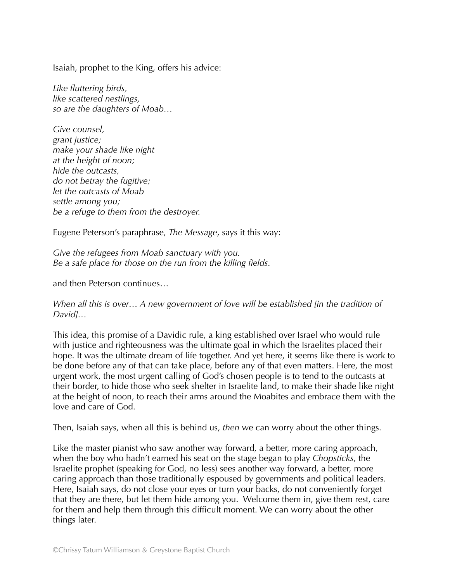Isaiah, prophet to the King, offers his advice:

*Like fluttering birds, like scattered nestlings, so are the daughters of Moab…* 

*Give counsel, grant justice; make your shade like night at the height of noon; hide the outcasts, do not betray the fugitive; let the outcasts of Moab settle among you; be a refuge to them from the destroyer.* 

Eugene Peterson's paraphrase, *The Message*, says it this way:

*Give the refugees from Moab sanctuary with you. Be a safe place for those on the run from the killing fields.* 

and then Peterson continues…

*When all this is over… A new government of love will be established [in the tradition of David]…* 

This idea, this promise of a Davidic rule, a king established over Israel who would rule with justice and righteousness was the ultimate goal in which the Israelites placed their hope. It was the ultimate dream of life together. And yet here, it seems like there is work to be done before any of that can take place, before any of that even matters. Here, the most urgent work, the most urgent calling of God's chosen people is to tend to the outcasts at their border, to hide those who seek shelter in Israelite land, to make their shade like night at the height of noon, to reach their arms around the Moabites and embrace them with the love and care of God.

Then, Isaiah says, when all this is behind us, *then* we can worry about the other things.

Like the master pianist who saw another way forward, a better, more caring approach, when the boy who hadn't earned his seat on the stage began to play *Chopsticks*, the Israelite prophet (speaking for God, no less) sees another way forward, a better, more caring approach than those traditionally espoused by governments and political leaders. Here, Isaiah says, do not close your eyes or turn your backs, do not conveniently forget that they are there, but let them hide among you. Welcome them in, give them rest, care for them and help them through this difficult moment. We can worry about the other things later.